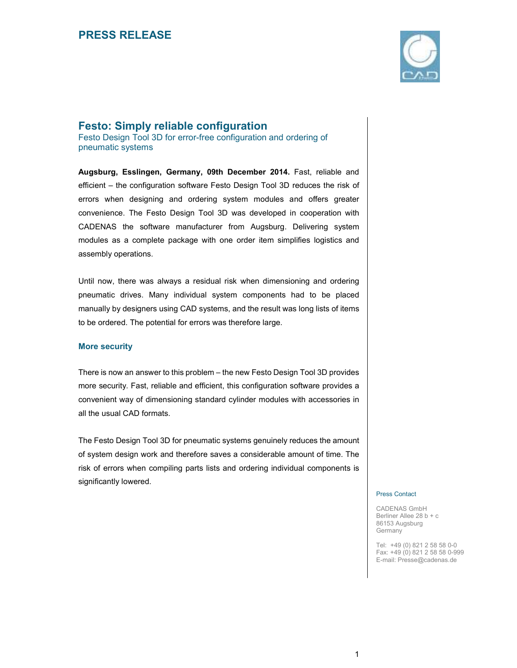

## **Festo: Simply reliable configuration**

Festo Design Tool 3D for error-free configuration and ordering of pneumatic systems

**Augsburg, Esslingen, Germany, 09th December 2014.** Fast, reliable and efficient – the configuration software Festo Design Tool 3D reduces the risk of errors when designing and ordering system modules and offers greater convenience. The Festo Design Tool 3D was developed in cooperation with CADENAS the software manufacturer from Augsburg. Delivering system modules as a complete package with one order item simplifies logistics and assembly operations.

Until now, there was always a residual risk when dimensioning and ordering pneumatic drives. Many individual system components had to be placed manually by designers using CAD systems, and the result was long lists of items to be ordered. The potential for errors was therefore large.

## **More security**

There is now an answer to this problem – the new Festo Design Tool 3D provides more security. Fast, reliable and efficient, this configuration software provides a convenient way of dimensioning standard cylinder modules with accessories in all the usual CAD formats.

The Festo Design Tool 3D for pneumatic systems genuinely reduces the amount of system design work and therefore saves a considerable amount of time. The risk of errors when compiling parts lists and ordering individual components is significantly lowered.

#### Press Contact

CADENAS GmbH Berliner Allee 28 b + c 86153 Augsburg Germany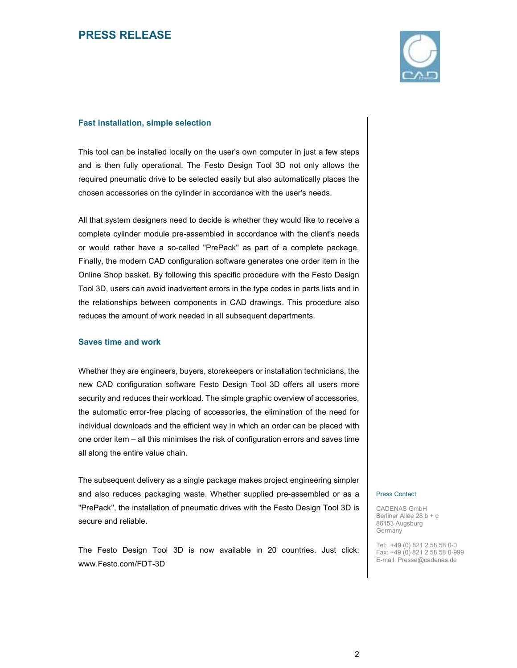

### **Fast installation, simple selection**

This tool can be installed locally on the user's own computer in just a few steps and is then fully operational. The Festo Design Tool 3D not only allows the required pneumatic drive to be selected easily but also automatically places the chosen accessories on the cylinder in accordance with the user's needs.

All that system designers need to decide is whether they would like to receive a complete cylinder module pre-assembled in accordance with the client's needs or would rather have a so-called "PrePack" as part of a complete package. Finally, the modern CAD configuration software generates one order item in the Online Shop basket. By following this specific procedure with the Festo Design Tool 3D, users can avoid inadvertent errors in the type codes in parts lists and in the relationships between components in CAD drawings. This procedure also reduces the amount of work needed in all subsequent departments.

### **Saves time and work**

Whether they are engineers, buyers, storekeepers or installation technicians, the new CAD configuration software Festo Design Tool 3D offers all users more security and reduces their workload. The simple graphic overview of accessories, the automatic error-free placing of accessories, the elimination of the need for individual downloads and the efficient way in which an order can be placed with one order item – all this minimises the risk of configuration errors and saves time all along the entire value chain.

The subsequent delivery as a single package makes project engineering simpler and also reduces packaging waste. Whether supplied pre-assembled or as a "PrePack", the installation of pneumatic drives with the Festo Design Tool 3D is secure and reliable.

The Festo Design Tool 3D is now available in 20 countries. Just click: www.Festo.com/FDT-3D

#### Press Contact

CADENAS GmbH Berliner Allee 28 b + c 86153 Augsburg Germany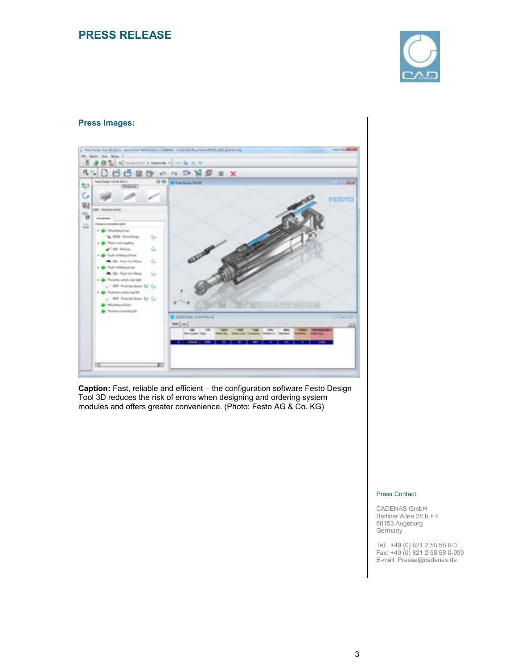

## **Press Images:**



**Caption:** Fast, reliable and efficient – the configuration software Festo Design Tool 3D reduces the risk of errors when designing and ordering system modules and offers greater convenience. (Photo: Festo AG & Co. KG)

### Press Contact

CADENAS GmbH Berliner Allee 28 b + c 86153 Augsburg **Germany**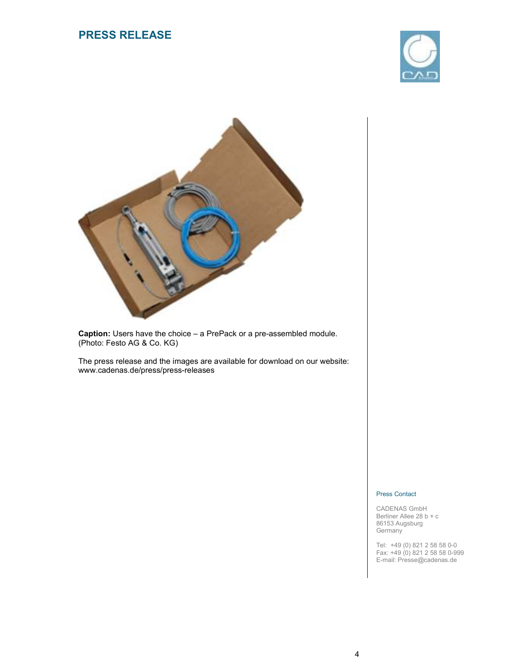



**Caption:** Users have the choice – a PrePack or a pre-assembled module. (Photo: Festo AG & Co. KG)

The press release and the images are available for download on our website: www.cadenas.de/press/press-releases

#### Press Contact

CADENAS GmbH Berliner Allee 28 b + c 86153 Augsburg **Germany**